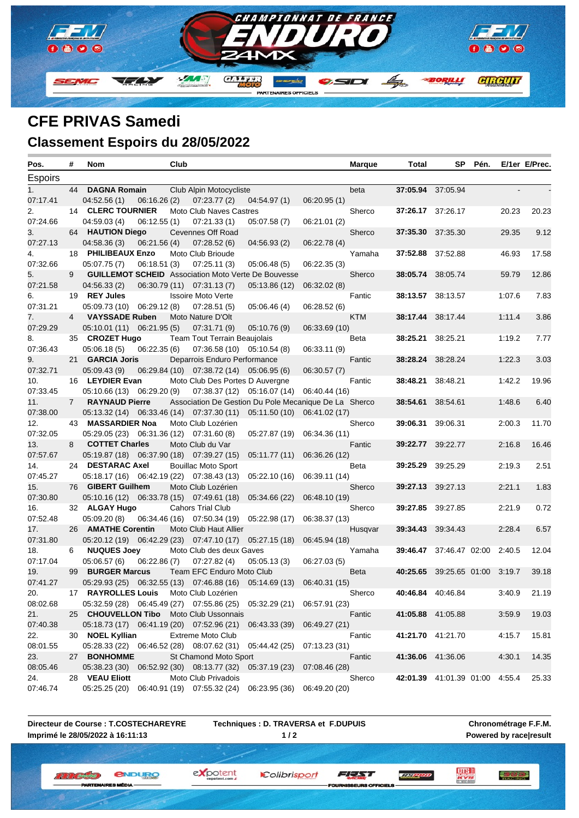

## **CFE PRIVAS Samedi Classement Espoirs du 28/05/2022**

| Pos.     | #           | Nom                                          | Club                                                                  |               | <b>Marque</b> | Total             | SP<br>Pén.                            |        | E/1er E/Prec. |
|----------|-------------|----------------------------------------------|-----------------------------------------------------------------------|---------------|---------------|-------------------|---------------------------------------|--------|---------------|
| Espoirs  |             |                                              |                                                                       |               |               |                   |                                       |        |               |
| 1.       | 44          | <b>DAGNA Romain</b>                          | Club Alpin Motocycliste                                               |               | beta          |                   | 37:05.94 37:05.94                     |        |               |
| 07:17.41 |             | 06:16.26(2)<br>04:52.56(1)                   | 07:23.77(2)<br>04:54.97(1)                                            | 06:20.95(1)   |               |                   |                                       |        |               |
| 2.       |             | 14 CLERC TOURNIER                            | Moto Club Naves Castres                                               |               | Sherco        |                   | 37:26.17 37:26.17                     | 20.23  | 20.23         |
| 07:24.66 |             | 06:12.55(1)<br>04:59.03(4)                   | 07:21.33(1)<br>05:07.58(7)                                            | 06:21.01 (2)  |               |                   |                                       |        |               |
| 3.       |             | 64 HAUTION Diego                             | Cevennes Off Road                                                     |               | Sherco        | 37:35.30 37:35.30 |                                       | 29.35  | 9.12          |
| 07:27.13 |             | 04:58.36(3)<br>06:21.56(4)                   | 07:28.52(6)<br>04:56.93(2)                                            | 06:22.78 (4)  |               |                   |                                       |        |               |
| 4.       |             | 18 PHILIBEAUX Enzo                           | Moto Club Brioude                                                     |               | Yamaha        |                   | 37:52.88 37:52.88                     | 46.93  | 17.58         |
| 07:32.66 |             | 06:18.51(3)<br>05:07.75(7)                   | 07:25.11(3)<br>05:06.48(5)                                            | 06:22.35(3)   |               |                   |                                       |        |               |
| 5.       | 9           |                                              | <b>GUILLEMOT SCHEID</b> Association Moto Verte De Bouvesse            |               | Sherco        |                   | 38:05.74 38:05.74                     | 59.79  | 12.86         |
| 07:21.58 |             | 04:56.33(2)                                  | 06:30.79 (11) 07:31.13 (7)<br>05:13.86 (12)                           | 06:32.02(8)   |               |                   |                                       |        |               |
| 6.       |             | 19 REY Jules                                 | <b>Issoire Moto Verte</b>                                             |               | Fantic        |                   | 38:13.57 38:13.57                     | 1:07.6 | 7.83          |
| 07:31.21 |             | $05:09.73(10)$ $06:29.12(8)$                 | 07:28.51(5)<br>05:06.46(4)                                            | 06:28.52 (6)  |               |                   |                                       |        |               |
| 7.       | 4           | <b>VAYSSADE Ruben</b>                        | Moto Nature D'Olt                                                     |               | KTM           |                   | 38:17.44 38:17.44                     | 1:11.4 | 3.86          |
| 07:29.29 |             | 05:10.01 (11) 06:21.95 (5)                   | 07:31.71 (9)<br>05:10.76(9)                                           | 06:33.69 (10) |               |                   |                                       |        |               |
| 8.       |             | 35 CROZET Hugo                               | <b>Team Tout Terrain Beaujolais</b>                                   |               | Beta          | 38:25.21 38:25.21 |                                       | 1:19.2 | 7.77          |
| 07:36.43 |             | 06:22.35(6)<br>05:06.18(5)                   | 07:36.58 (10) 05:10.54 (8)                                            | 06:33.11 (9)  |               |                   |                                       |        |               |
| 9.       | 21          | <b>GARCIA Joris</b>                          | Deparrois Enduro Performance                                          |               | Fantic        | 38:28.24 38:28.24 |                                       | 1:22.3 | 3.03          |
| 07:32.71 |             | 05:09.43(9)                                  | 06:29.84 (10) 07:38.72 (14) 05:06.95 (6)                              | 06:30.57(7)   |               |                   |                                       |        |               |
| 10.      |             | 16 LEYDIER Evan                              | Moto Club Des Portes D Auvergne                                       |               | Fantic        | 38:48.21 38:48.21 |                                       | 1:42.2 | 19.96         |
| 07:33.45 |             | $05:10.66(13)$ $06:29.20(9)$                 | $07:38.37(12)$ $05:16.07(14)$                                         | 06:40.44 (16) |               |                   |                                       |        |               |
| 11.      | $7^{\circ}$ | <b>RAYNAUD Pierre</b>                        | Association De Gestion Du Pole Mecanique De La Sherco                 |               |               | 38:54.61          | 38:54.61                              | 1:48.6 | 6.40          |
| 07:38.00 |             | $05:13.32(14)$ $06:33.46(14)$ $07:37.30(11)$ | 05:11.50 (10)                                                         | 06:41.02 (17) |               |                   |                                       |        |               |
| 12.      | 43          | <b>MASSARDIER Noa</b>                        | Moto Club Lozérien                                                    |               | Sherco        | 39:06.31 39:06.31 |                                       | 2:00.3 | 11.70         |
| 07:32.05 |             | 05:29.05 (23) 06:31.36 (12) 07:31.60 (8)     | 05:27.87 (19)                                                         | 06:34.36 (11) |               |                   |                                       |        |               |
| 13.      | 8           | <b>COTTET Charles</b>                        | Moto Club du Var                                                      |               | Fantic        |                   | 39:22.77 39:22.77                     | 2:16.8 | 16.46         |
| 07:57.67 |             | 05:19.87 (18) 06:37.90 (18) 07:39.27 (15)    | 05:11.77(11)                                                          | 06:36.26 (12) |               |                   |                                       |        |               |
| 14.      |             | 24 DESTARAC Axel                             | <b>Bouillac Moto Sport</b>                                            |               | Beta          | 39:25.29 39:25.29 |                                       | 2:19.3 | 2.51          |
| 07:45.27 |             | 05:18.17 (16) 06:42.19 (22) 07:38.43 (13)    | 05:22.10 (16)                                                         | 06:39.11 (14) |               |                   |                                       |        |               |
| 15.      |             | 76 GIBERT Guilhem                            | Moto Club Lozérien                                                    |               | Sherco        |                   | 39:27.13 39:27.13                     | 2:21.1 | 1.83          |
| 07:30.80 |             | 05:10.16 (12) 06:33.78 (15) 07:49.61 (18)    | 05:34.66 (22)                                                         | 06:48.10 (19) |               |                   |                                       |        |               |
| 16.      |             | 32 ALGAY Hugo                                | <b>Cahors Trial Club</b>                                              |               | Sherco        |                   | <b>39:27.85</b> 39:27.85              | 2:21.9 | 0.72          |
| 07:52.48 |             | 05:09.20(8)                                  | 06:34.46 (16) 07:50.34 (19)<br>05:22.98 (17)                          | 06:38.37 (13) |               |                   |                                       |        |               |
| 17.      |             | 26 AMATHE Corentin                           | Moto Club Haut Allier                                                 |               | Husqvar       | 39:34.43 39:34.43 |                                       | 2:28.4 | 6.57          |
| 07:31.80 |             | 05:20.12 (19) 06:42.29 (23) 07:47.10 (17)    | 05:27.15(18)                                                          | 06:45.94 (18) |               |                   |                                       |        |               |
| 18.      | 6           | <b>NUQUES Joey</b>                           | Moto Club des deux Gaves                                              |               | Yamaha        |                   | <b>39:46.47</b> 37:46.47 02:00 2:40.5 |        | 12.04         |
| 07:17.04 |             | 05:06.57(6)<br>06:22.86(7)                   | 07:27.82(4)<br>05:05.13(3)                                            | 06:27.03(5)   |               |                   |                                       |        |               |
| 19.      |             | 99 BURGER Marcus                             | Team EFC Enduro Moto Club                                             |               | Beta          |                   | 40:25.65 39:25.65 01:00 3:19.7        |        | 39.18         |
| 07:41.27 |             |                                              | 05:29.93 (25) 06:32.55 (13) 07:46.88 (16) 05:14.69 (13)               | 06:40.31 (15) |               |                   |                                       |        |               |
| 20.      | 17          | <b>RAYROLLES Louis</b> Moto Club Lozérien    |                                                                       |               | Sherco        | 40:46.84 40:46.84 |                                       | 3:40.9 | 21.19         |
| 08:02.68 |             |                                              | 05:32.59 (28) 06:45.49 (27) 07:55.86 (25) 05:32.29 (21) 06:57.91 (23) |               |               |                   |                                       |        |               |
| 21.      |             | 25 CHOUVELLON Tibo Moto Club Ussonnais       |                                                                       |               | Fantic        |                   | 41:05.88 41:05.88                     | 3:59.9 | 19.03         |
| 07:40.38 |             |                                              | 05:18.73 (17) 06:41.19 (20) 07:52.96 (21) 06:43.33 (39)               | 06:49.27 (21) |               |                   |                                       |        |               |
| 22.      |             | 30 NOEL Kyllian                              | <b>Extreme Moto Club</b>                                              |               | Fantic        |                   | 41:21.70 41:21.70                     | 4:15.7 | 15.81         |
| 08:01.55 |             | 05:28.33 (22) 06:46.52 (28) 08:07.62 (31)    | 05:44.42 (25)                                                         | 07:13.23 (31) |               |                   |                                       |        |               |
| 23.      |             | 27 BONHOMME                                  | St Chamond Moto Sport                                                 |               | Fantic        |                   | 41:36.06 41:36.06                     | 4:30.1 | 14.35         |
| 08:05.46 |             |                                              | 05:38.23 (30) 06:52.92 (30) 08:13.77 (32) 05:37.19 (23)               | 07:08.46 (28) |               |                   |                                       |        |               |
| 24.      |             | 28 VEAU Eliott                               | Moto Club Privadois                                                   |               | Sherco        |                   | 42:01.39 41:01.39 01:00 4:55.4        |        | 25.33         |
| 07:46.74 |             |                                              | 05:25.25 (20) 06:40.91 (19) 07:55.32 (24) 06:23.95 (36)               | 06:49.20 (20) |               |                   |                                       |        |               |

**Directeur de Course : T.COSTECHAREYRE Imprimé le 28/05/2022 à 16:11:13**

**W. W. L. Antipolis C.** 

**IBTEM** 

*<u>ENDURO</u>* 

ES MÉDIA

**Techniques : D. TRAVERSA et F.DUPUIS 1 / 2**

**Chronométrage F.F.M. Powered by race|result**

三方的过去

FEAT

SEURS OFFICIELS

**REPORT** 

expotent Colibrisport